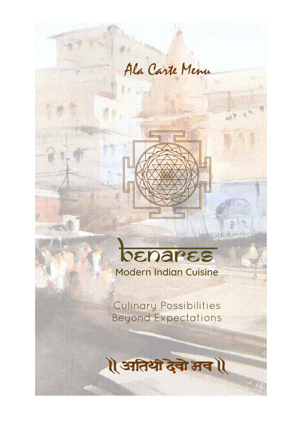

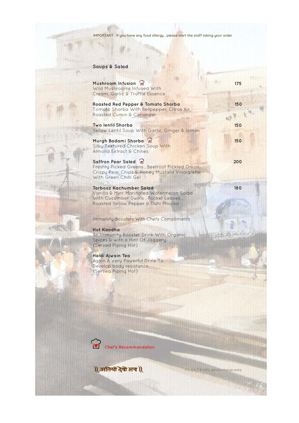## **Soups & Salad**

| Mushroom Infusion 2<br>Wild Mushrooms Infused With<br>Cream, Garlic & Truffle Essence                                                                      | 175 |
|------------------------------------------------------------------------------------------------------------------------------------------------------------|-----|
| Roasted Red Pepper & Tomato Shorba<br>Tomato Shorba With Bellpepper, Citrus Air,<br>Roasted Cumin & Coriander                                              | 150 |
| Two lentil Shorba<br>Yellow Lentil Soup With Garlic, Ginger & lemon                                                                                        | 150 |
| Murgh Badami Shorba<br>Silky Textured Chicken Soup With<br>Almond Extract & Chilies                                                                        | 150 |
| Saffron Pear Salad<br>Freshly Picked Greens, Beetroot Pickled Onion,<br>Crispy Pear Chips & Honey Mustard Vinaigrette<br>With Green Chilli Gel             | 200 |
| <b>Tarbooz Kachumber Salad</b><br>Vanilla & Mint Marinated Watermelon Salad<br>With Cucumber Swirls, Rocket Leaves,<br>Roasted Yellow Pepper & Dahi Phucka | 180 |
| <b>Immunity Boosters With Chefs Compliments</b>                                                                                                            |     |
| <b>Hot Kaadha</b><br>An Immunity Booster Drink With Organic<br>Spices & with a Hint Of Jaggery,<br>{Served Piping Hot}                                     |     |
| Haldi Ajwain Tea<br>Again A Very Powerful Drink To<br>Develop body resistance,<br>{Served Piping Hot}                                                      |     |
|                                                                                                                                                            |     |

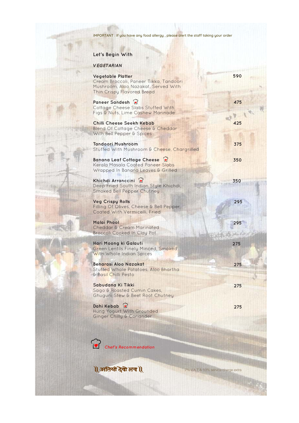## **Let's Begin With**

### **VEGETARIAN**

| <b>Vegetable Platter</b><br>Cream Broccoli, Paneer Tikka, Tandoori<br>Mushroom, Aloo Nazakat, Served With<br>Thin Crispy Flavored Bread | 590 |
|-----------------------------------------------------------------------------------------------------------------------------------------|-----|
| Paneer Sandesh<br>Cottage Cheese Slabs Stuffed With<br>Figs & Nuts, Lime Cashew Marinade                                                | 475 |
| Chilli Cheese Seekh Kebab<br><b>Blend Of Cottage Cheese &amp; Cheddar</b><br>With Bell Pepper & Spices                                  | 425 |
| <b>Tandoori Mushroom</b><br>Stuffed With Mushroom & Cheese, Chargrilled                                                                 | 375 |
| <b>Banana Leaf Cottage Cheese</b><br>Kerala Masala Coated Paneer Slabs<br>Wrapped In Banana Leaves & Grilled                            | 350 |
| Khichdi Arranccini 2<br>Deep Fried South Indian Style Khichdi,<br>Smoked Bell Pepper Chutney                                            | 350 |
| <b>Veg Crispy Rolls</b><br>Filling Of Olives, Cheese & Bell Pepper,<br>Coated With Vermicelli, Fried                                    | 295 |
| <b>Malai Phool</b><br><b>Cheddar &amp; Cream Marinated</b><br><b>Broccoli Cooked In Clay Pot</b>                                        | 295 |
| Hari Moong ki Galauti<br><b>Green Lentils Finely Minced, Smoked</b><br>With Whole Indian Spices                                         | 275 |
| Benarasi Aloo Nazakat<br>Stuffed Whole Potatoes, Aloo Bhartha<br>& Basil Chilli Pesto                                                   | 275 |
| Sabudana Ki Tikki<br>Sago & Roasted Cumin Cakes,<br>Ghuguni Stew & Beet Root Chutney                                                    | 275 |
| Dahi Kebab a<br>Hung Yogurt With Grounded                                                                                               | 275 |

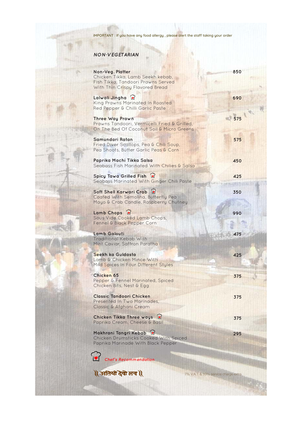**295**

7% V.A.T & 10% service charge extra

IMPORTANT : If you have any food allergy, please alert the staff taking your order

### **NON-VEGETARIAN**

| Non-Veg. Platter<br>Chicken Tikka, Lamb Seekh kebab,<br>Fish Tikka, Tandoori Prawns Served<br>With Thin Crispy Flavored Bread | 850 |  |
|-------------------------------------------------------------------------------------------------------------------------------|-----|--|
| Lalwali Jingha (2)<br>King Prawns Marinated In Roasted<br>Red Pepper & Chilli Garlic Paste                                    | 690 |  |
| <b>Three Way Prawn</b><br>Prawns Tandoori, Vermicelli Fried & Grilled,<br>On The Bed Of Coconut Soil & Micro Greens           |     |  |
| Samundari Ratan<br>Fried Diver Scallops, Pea & Chili Soup,<br>Pea Shoots, Butter Garlic Peas & Corn                           | 575 |  |
| Paprika Machi Tikka Salsa<br>Seabass Fish Marinated With Chilies & Salsa                                                      | 450 |  |
| Spicy Tawa Grilled Fish<br>Seabass Marinated With Ginger Chili Paste                                                          | 425 |  |
| Soft Shell Karwari Crab<br>Coated With Semolina, Butterfly Pea<br>Mayo & Crab Candle, Raspberry Chutney                       | 350 |  |
| Lamb Chops ?<br>Sous Vide Cooked Lamb Chops,<br>Fennel & Black Pepper Corn                                                    | 990 |  |
| <b>Lamb Galouti</b><br><b>Traditional Kebab With</b><br>Mint Caviar, Saffron Paratha                                          | 475 |  |
| Seekh ka Guldasta<br>Lamb & Chicken Mince With<br>Mild Spices In Four Different Styles                                        | 425 |  |
| Chicken 65<br>Pepper & Fennel Marinated, Spiced<br>Chicken Bits, Nest & Egg                                                   | 375 |  |
| <b>Classic Tandoori Chicken</b><br>Presented In Two Marinades,<br>Classic & Afghani Cream                                     | 375 |  |
| Chicken Tikka Three ways 2                                                                                                    | 375 |  |

Paprika Cream, Cheese & Basil

**Makhrani Tangri Kebab** Chicken Drumsticks Cooked With Spiced Paprika Marinade With Black Pepper



**Chef's Recommendation**

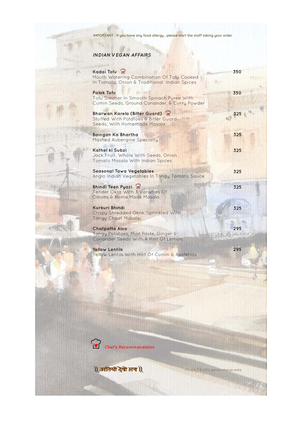## **INDIAN VEGAN AFFAIRS**

| Kadai Tofu a<br>Mouth Watering Combination Of Tofu Cooked<br>In Tomato, Onion & Traditional Indian Spices      | 350 |
|----------------------------------------------------------------------------------------------------------------|-----|
| <b>Palak Tofu</b><br>Tofu Simmer In Smooth Spinach Puree With<br>Cumin Seeds, Ground Coriander, & Curry Powder | 350 |
| Bharwan Karela (Bitter Guord) 2<br>Stuffed With Potatoes & Bitter Guord<br>Seeds, With Homemade Masala         | 325 |
| Baingan Ka Bhartha<br>Mashed Aubergine Specialty                                                               | 325 |
| Kathel ki Subzi<br>Jack Fruit, Whole With Seeds, Onion<br>Tomato Masala With Indian Spices                     | 325 |
| <b>Seasonal Tawa Vegetables</b><br>Anglo Indian Vegetables In Tangy Tomato Sauce                               | 325 |
| Bhindi Teen Pyazi<br>Tender Okra With 3 Varieties Of<br>Onions & Home Made Masala                              | 325 |
| <b>Kurkuri Bhindi</b><br>Crispy Shredded Okra, Sprinkled With<br>Tangy Chaat Masala.                           | 325 |
| <b>Chatpatta Aloo</b><br>Tangy Potatoes, Mint Paste, Ginger &<br>Coriander Seeds With A Hint Of Lemon.         | 295 |
| <b>Yellow Lentils</b><br>Yellow Lentils With Hint Of Cumin & Asafetida                                         | 295 |

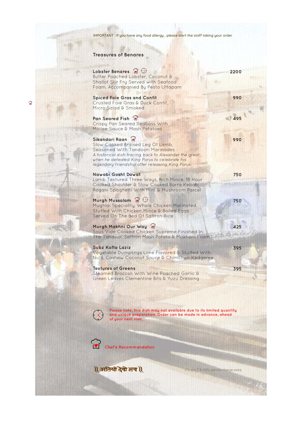#### **Treasures of Benares**

Lobster Benares **a**  $\bigcirc$ 

Butter Poached Lobster, Coconut & Shallot Stir Fry Served with Seafood Foam, Accompanied By Pesto Uttapam

**Spiced Foie Gras and Confit** Crusted Foie Gras & Duck Confit, Micro Salad & Smoked

### **Pan Seared Fish**

Crispy Pan Seared Seabass With Moilee Sauce & Mash Potatoes

#### **Sikandari Raan**

Slow Cooked Braised Leg Of Lamb, Seasoned With Tandoori Marinades A historical dish tracing back to Alexander the great, when he defeated King Porus to celebrate his legendary friendship after releasing King Porus

#### **Nawabi Gosht Dawat**

Lamb Textured Three Ways, Rich Mince, 18 Hour Cooked Shoulder & Slow Cooked Barra Kebab, Rogani Spaghetti With Mint & Mushroom Parcel

#### **Murgh Mussalam P**



Mughlai Speciality, Whole Chicken Marinated, Stuffed With Chicken Mince & Boiled Eggs Served On The Bed Of Saffron Rice

#### **Murgh Makhni Our Way**

Sous Vide Cooked Chicken Supreme Finished In The Tandoor, Saffron Mash Potato & Makhani Foam

#### **Subz Kofta Laziz**

Vegetable Dumplings Lime Flavored & Stuffed With Nuts, Cashew Coconut Sauce & Chimchuri Kedgeree

#### **Textures of Greens**

Steamed Broccoli With Wine Poached Garlic & Green Leaves Clementine Bits & Yuzu Dressing **2200**

**990**

**495**

**990**

**750**

**750**

**425**



**395**



**Please note, this dish may not available due to its limited quantity and unique preparation. Order can be made in advance, ahead of your next visit.**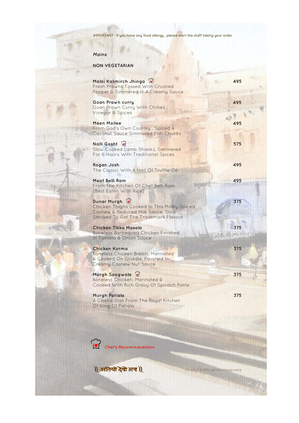### **Mains**

### **NON VEGETARIAN**



| Malai Kalimirch Jhinga<br>Fresh Prawns Tossed With Crushed<br>Pepper & Simmered In A Creamy Sauce                                      | 495 |
|----------------------------------------------------------------------------------------------------------------------------------------|-----|
| <b>Goan Prawn curry</b><br>Goan Prawn Curry With Chillies,<br>Vinegar & Spices                                                         | 495 |
| <b>Meen Moilee</b><br>From God's Own Country, Spiced &<br><b>Coconut Sauce Simmered Fish Chunks</b>                                    | 495 |
| Nalli Gosht<br>Slow Cooked Lamb Shanks, Simmered<br>For 6 Hours With Traditional Spices                                                | 575 |
| Rogan Josh<br>The Classic With A Hint Of Truffle Oil                                                                                   | 495 |
| Meat Belli Ram<br>From The Kitchen Of Chef Belli Ram<br>{Best Eaten With Rice}                                                         | 495 |
| Dunar Murgh<br>Chicken Thighs Cooked In This Mildly Spiced<br>Cashew & Reduced Milk Sauce, Slow<br>Smoked To Get The Trademark Flavour | 375 |
| Chicken Tikka Masala<br><b>Boneless Barbequed Chicken Finished</b><br>In Tomato & Onion Sauce                                          | 375 |
| <b>Chicken Korma</b><br>Boneless Chicken Breast, Marinated<br>& Cooked On Griddle, Finished In<br><b>Creamy Cashew Nut Sauce</b>       | 375 |
| Murgh Saagwala<br>Boneless Chicken, Marinated &<br>Cooked With Rich Gravy Of Spinach Paste                                             | 375 |
| Murgh Patiala<br>A Classic Dish From The Royal Kitchen<br>Of King Of Patiala                                                           | 375 |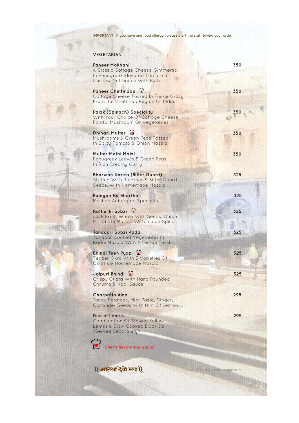7% V.A.T & 10% service charge extra

IMPORTANT : If you have any food allergy, please alert the staff taking your order

### **VEGETARIAN**

 $\widehat{\mathbf{C}}$ **Chef's Recommendation**

1 अतिथी देवो भव 1

| <b>Paneer Makhani</b><br>A Classic Cottage Cheese, Simmered<br>In Fenugreek Flavored Tomato &<br>Cashew Nut Sauce With Butter | 350 |
|-------------------------------------------------------------------------------------------------------------------------------|-----|
| Paneer Chettinadu<br>Cottage Cheese Tossed In Fierce Gravy<br>From the Chettinad Region Of India                              | 350 |
| <b>Palak (Spinach) Speciality</b><br>With Your Choice Of Cottage Cheese,<br>Potato, Mushroom Or Vegetables                    | 350 |
| Dhingri Mutter<br>Mushrooms & Green Peas Tossed<br>In Spicy Tomato & Onion Masala                                             | 350 |
| Mutter Methi Malai<br>Fenugreek Leaves & Green Peas<br>In Rich Creamy Curry                                                   | 350 |
| Bharwan Karela (Bitter Guord)<br>Stuffed With Potatoes & Bitter Guord<br>Seeds, With Homemade Masala.                         | 325 |
| Baingan Ka Bhartha<br>Mashed Aubergine Speciality                                                                             | 325 |
| Kathel ki Subzi<br>Jack Fruit, Whole With Seeds, Onion<br>& Tomato Masala With Indian Spices                                  | 325 |
| Tandoori Subzi Kadai<br><b>Tandoor Cooked Vegetables In</b><br>Kadai Masala With A Lemon Twist                                | 325 |
| <b>Bhindi Teen Pyazi</b> 2<br>Tender Okra With 3 Varieties Of<br>Onions & Homemade Masala                                     | 325 |
| Jaipuri Bhindi <sup>6</sup><br>Crispy Okara With Hand Pounded<br>Chruma & Kadi Sauce                                          | 325 |
| <b>Chatpatta Aloo</b><br>Tangy Potatoes, Mint Paste, Ginger,<br>Coriander Seeds With Hint Of Lemon                            | 295 |
| Duo of Lentils<br>$Of C f q_1$ ind $V q_1$                                                                                    | 295 |

Combination Of Stewed Yellow Lentils & Slow Cooked Black Dal {Served Separately}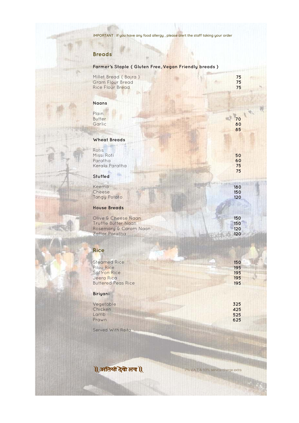## **Breads**

# **Farmer's Staple { Gluten Free, Vegan Friendly breads }**

| Millet Bread { Bajra }<br><b>Gram Flour Bread</b><br><b>Rice Flour Bread</b> | 75<br>75<br>75 |
|------------------------------------------------------------------------------|----------------|
| <b>Naans</b>                                                                 |                |
| Plain<br><b>Butter</b><br>Garlic                                             | 70<br>80<br>85 |
| <b>Wheat Breads</b>                                                          |                |
| Rotis<br>Missi Roti                                                          | 50             |
| Paratha                                                                      | 60             |
| Kerala Paratha                                                               | 75             |
| Stuffed                                                                      | 75             |
| Keema                                                                        | 180            |
| Cheese                                                                       | 150            |
| Tangy Potato                                                                 | 120            |
| <b>House Breads</b>                                                          |                |
| Olive & Cheese Naan                                                          | 150            |
| <b>Truffle Butter Naan</b>                                                   | 150            |
| Rosemary & Carom Naan                                                        | 120            |
| Zattar Paratha                                                               | 120            |
| <b>Rice</b>                                                                  |                |
| <b>Steamed Rice</b>                                                          | 150            |
| Pilau Rice                                                                   | 195            |
| <b>Saffron Rice</b>                                                          | 195            |
| Jeera Rica<br><b>Buttered Peas Rice</b>                                      | 195<br>195     |
| <b>Biriyani</b>                                                              |                |
| Vegetable                                                                    | 325            |
| Chicken                                                                      | 425            |
| Lamb                                                                         | 525            |